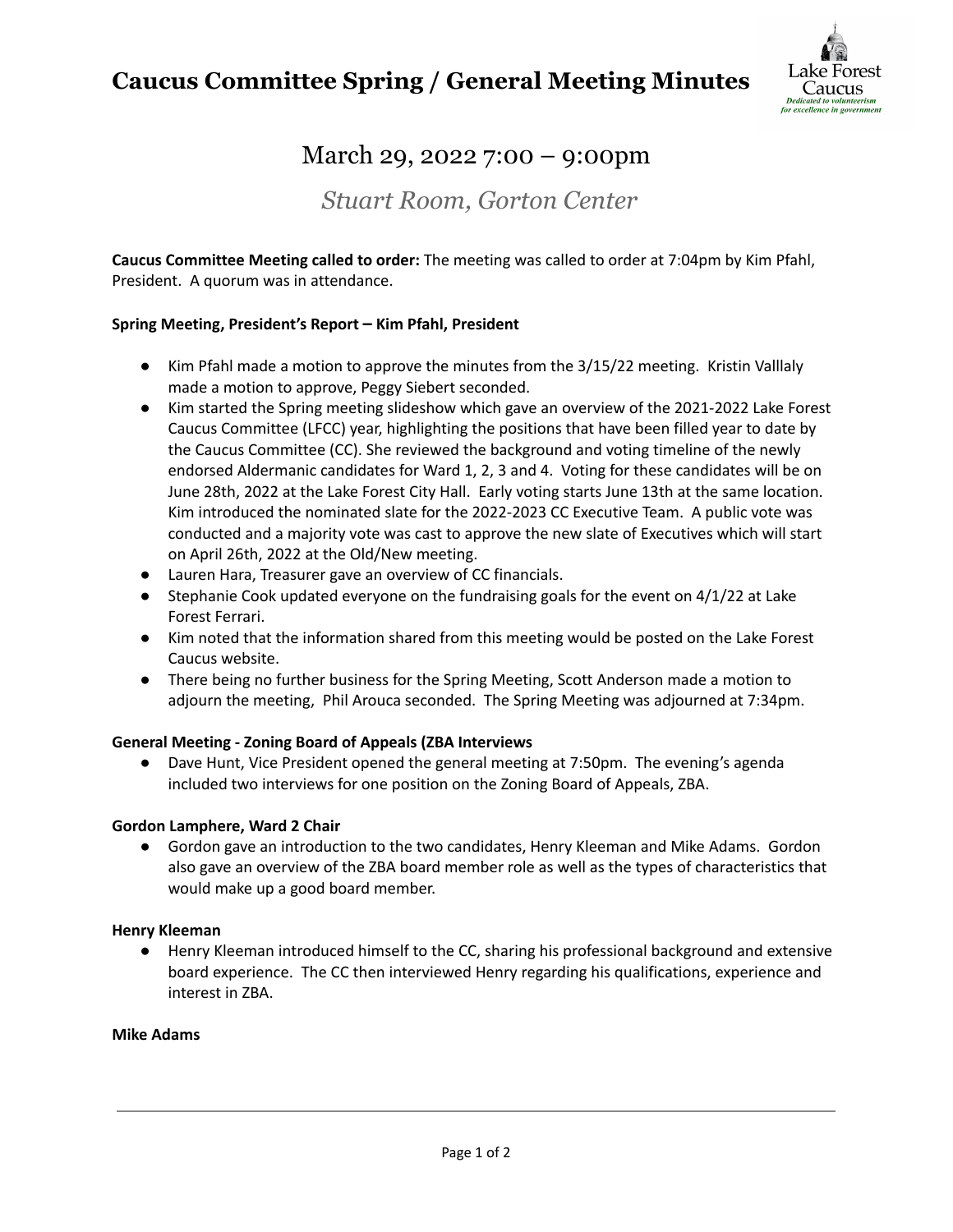# **Caucus Committee Spring / General Meeting Minutes**



# March 29, 2022 7:00 – 9:00pm

*Stuart Room, Gorton Center*

**Caucus Committee Meeting called to order:** The meeting was called to order at 7:04pm by Kim Pfahl, President. A quorum was in attendance.

### **Spring Meeting, President's Report – Kim Pfahl, President**

- Kim Pfahl made a motion to approve the minutes from the 3/15/22 meeting. Kristin Valllaly made a motion to approve, Peggy Siebert seconded.
- Kim started the Spring meeting slideshow which gave an overview of the 2021-2022 Lake Forest Caucus Committee (LFCC) year, highlighting the positions that have been filled year to date by the Caucus Committee (CC). She reviewed the background and voting timeline of the newly endorsed Aldermanic candidates for Ward 1, 2, 3 and 4. Voting for these candidates will be on June 28th, 2022 at the Lake Forest City Hall. Early voting starts June 13th at the same location. Kim introduced the nominated slate for the 2022-2023 CC Executive Team. A public vote was conducted and a majority vote was cast to approve the new slate of Executives which will start on April 26th, 2022 at the Old/New meeting.
- Lauren Hara, Treasurer gave an overview of CC financials.
- $\bullet$  Stephanie Cook updated everyone on the fundraising goals for the event on 4/1/22 at Lake Forest Ferrari.
- Kim noted that the information shared from this meeting would be posted on the Lake Forest Caucus website.
- There being no further business for the Spring Meeting, Scott Anderson made a motion to adjourn the meeting, Phil Arouca seconded. The Spring Meeting was adjourned at 7:34pm.

#### **General Meeting - Zoning Board of Appeals (ZBA Interviews**

● Dave Hunt, Vice President opened the general meeting at 7:50pm. The evening's agenda included two interviews for one position on the Zoning Board of Appeals, ZBA.

#### **Gordon Lamphere, Ward 2 Chair**

● Gordon gave an introduction to the two candidates, Henry Kleeman and Mike Adams. Gordon also gave an overview of the ZBA board member role as well as the types of characteristics that would make up a good board member.

#### **Henry Kleeman**

● Henry Kleeman introduced himself to the CC, sharing his professional background and extensive board experience. The CC then interviewed Henry regarding his qualifications, experience and interest in ZBA.

#### **Mike Adams**